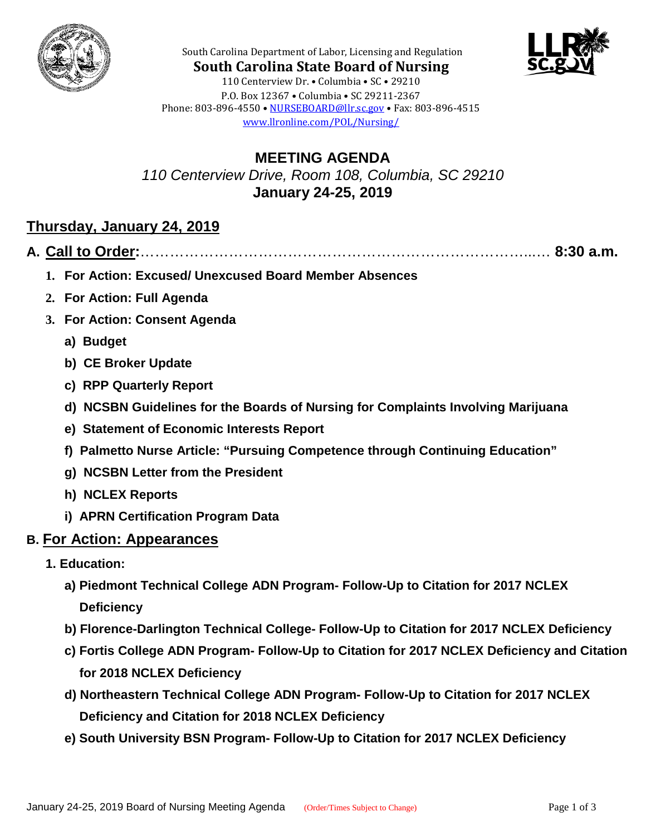



**South Carolina State Board of Nursing** 110 Centerview Dr. • Columbia • SC • 29210 P.O. Box 12367 • Columbia • SC 29211-2367 Phone: 803-896-4550 • [NURSEBOARD@llr.sc.gov](mailto:contactllr@llr.sc.gov) • Fax: 803-896-4515 [www.llronline.com/POL/Nursing/](http://www.llronline.com/POL/Nursing/)

South Carolina Department of Labor, Licensing and Regulation

**MEETING AGENDA** *110 Centerview Drive, Room 108, Columbia, SC 29210* **January 24-25, 2019**

# **Thursday, January 24, 2019**

**A. Call to Order:**……………………………………………………………………...… **8:30 a.m.**

- **1. For Action: Excused/ Unexcused Board Member Absences**
- **2. For Action: Full Agenda**
- **3. For Action: Consent Agenda**
	- **a) Budget**
	- **b) CE Broker Update**
	- **c) RPP Quarterly Report**
	- **d) NCSBN Guidelines for the Boards of Nursing for Complaints Involving Marijuana**
	- **e) Statement of Economic Interests Report**
	- **f) Palmetto Nurse Article: "Pursuing Competence through Continuing Education"**
	- **g) NCSBN Letter from the President**
	- **h) NCLEX Reports**
	- **i) APRN Certification Program Data**
- **B. For Action: Appearances**
	- **1. Education:** 
		- **a) Piedmont Technical College ADN Program- Follow-Up to Citation for 2017 NCLEX Deficiency**
		- **b) Florence-Darlington Technical College- Follow-Up to Citation for 2017 NCLEX Deficiency**
		- **c) Fortis College ADN Program- Follow-Up to Citation for 2017 NCLEX Deficiency and Citation for 2018 NCLEX Deficiency**
		- **d) Northeastern Technical College ADN Program- Follow-Up to Citation for 2017 NCLEX Deficiency and Citation for 2018 NCLEX Deficiency**
		- **e) South University BSN Program- Follow-Up to Citation for 2017 NCLEX Deficiency**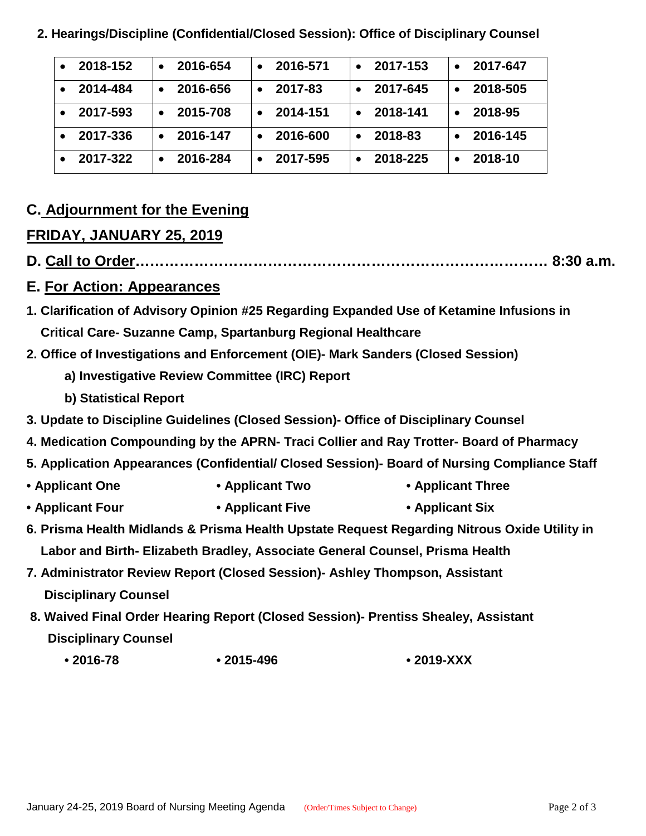| 2018-152 | 2016-654 | 2016-571 | 2017-153 | 2017-647 |
|----------|----------|----------|----------|----------|
| 2014-484 | 2016-656 | 2017-83  | 2017-645 | 2018-505 |
| 2017-593 | 2015-708 | 2014-151 | 2018-141 | 2018-95  |
| 2017-336 | 2016-147 | 2016-600 | 2018-83  | 2016-145 |
| 2017-322 | 2016-284 | 2017-595 | 2018-225 | 2018-10  |

 **2. Hearings/Discipline (Confidential/Closed Session): Office of Disciplinary Counsel**

## **C. Adjournment for the Evening**

#### **FRIDAY, JANUARY 25, 2019**

**D. Call to Order………………………………………………………………………… 8:30 a.m.**

#### **E. For Action: Appearances**

- **1. Clarification of Advisory Opinion #25 Regarding Expanded Use of Ketamine Infusions in Critical Care- Suzanne Camp, Spartanburg Regional Healthcare**
- **2. Office of Investigations and Enforcement (OIE)- Mark Sanders (Closed Session)**
	- **a) Investigative Review Committee (IRC) Report**
	- **b) Statistical Report**
- **3. Update to Discipline Guidelines (Closed Session)- Office of Disciplinary Counsel**
- **4. Medication Compounding by the APRN- Traci Collier and Ray Trotter- Board of Pharmacy**
- **5. Application Appearances (Confidential/ Closed Session)- Board of Nursing Compliance Staff**
- **Applicant One Applicant Two Applicant Three**
- **Applicant Four Applicant Five Applicant Six**
- **6. Prisma Health Midlands & Prisma Health Upstate Request Regarding Nitrous Oxide Utility in Labor and Birth- Elizabeth Bradley, Associate General Counsel, Prisma Health**
- **7. Administrator Review Report (Closed Session)- Ashley Thompson, Assistant Disciplinary Counsel**
- **8. Waived Final Order Hearing Report (Closed Session)- Prentiss Shealey, Assistant Disciplinary Counsel**
	- **2016-78 2015-496 2019-XXX**